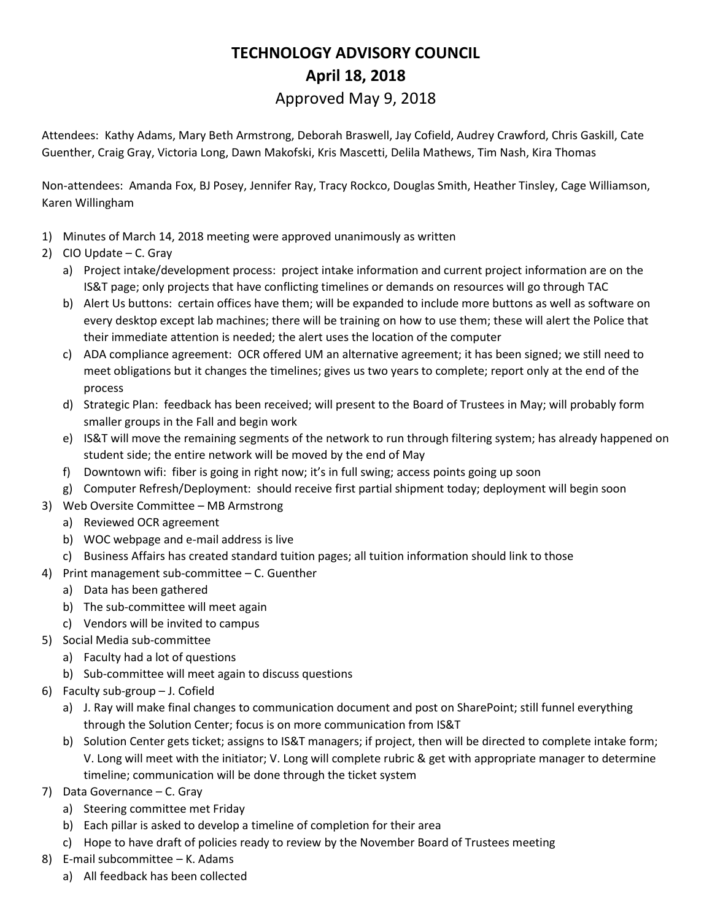## **TECHNOLOGY ADVISORY COUNCIL April 18, 2018** Approved May 9, 2018

Attendees: Kathy Adams, Mary Beth Armstrong, Deborah Braswell, Jay Cofield, Audrey Crawford, Chris Gaskill, Cate Guenther, Craig Gray, Victoria Long, Dawn Makofski, Kris Mascetti, Delila Mathews, Tim Nash, Kira Thomas

Non-attendees: Amanda Fox, BJ Posey, Jennifer Ray, Tracy Rockco, Douglas Smith, Heather Tinsley, Cage Williamson, Karen Willingham

- 1) Minutes of March 14, 2018 meeting were approved unanimously as written
- 2) CIO Update C. Gray
	- a) Project intake/development process: project intake information and current project information are on the IS&T page; only projects that have conflicting timelines or demands on resources will go through TAC
	- b) Alert Us buttons: certain offices have them; will be expanded to include more buttons as well as software on every desktop except lab machines; there will be training on how to use them; these will alert the Police that their immediate attention is needed; the alert uses the location of the computer
	- c) ADA compliance agreement: OCR offered UM an alternative agreement; it has been signed; we still need to meet obligations but it changes the timelines; gives us two years to complete; report only at the end of the process
	- d) Strategic Plan: feedback has been received; will present to the Board of Trustees in May; will probably form smaller groups in the Fall and begin work
	- e) IS&T will move the remaining segments of the network to run through filtering system; has already happened on student side; the entire network will be moved by the end of May
	- f) Downtown wifi: fiber is going in right now; it's in full swing; access points going up soon
	- g) Computer Refresh/Deployment: should receive first partial shipment today; deployment will begin soon
- 3) Web Oversite Committee MB Armstrong
	- a) Reviewed OCR agreement
	- b) WOC webpage and e-mail address is live
	- c) Business Affairs has created standard tuition pages; all tuition information should link to those
- 4) Print management sub-committee C. Guenther
	- a) Data has been gathered
	- b) The sub-committee will meet again
	- c) Vendors will be invited to campus
- 5) Social Media sub-committee
	- a) Faculty had a lot of questions
	- b) Sub-committee will meet again to discuss questions
- 6) Faculty sub-group J. Cofield
	- a) J. Ray will make final changes to communication document and post on SharePoint; still funnel everything through the Solution Center; focus is on more communication from IS&T
	- b) Solution Center gets ticket; assigns to IS&T managers; if project, then will be directed to complete intake form; V. Long will meet with the initiator; V. Long will complete rubric & get with appropriate manager to determine timeline; communication will be done through the ticket system
- 7) Data Governance C. Gray
	- a) Steering committee met Friday
	- b) Each pillar is asked to develop a timeline of completion for their area
	- c) Hope to have draft of policies ready to review by the November Board of Trustees meeting
- 8) E-mail subcommittee K. Adams
	- a) All feedback has been collected